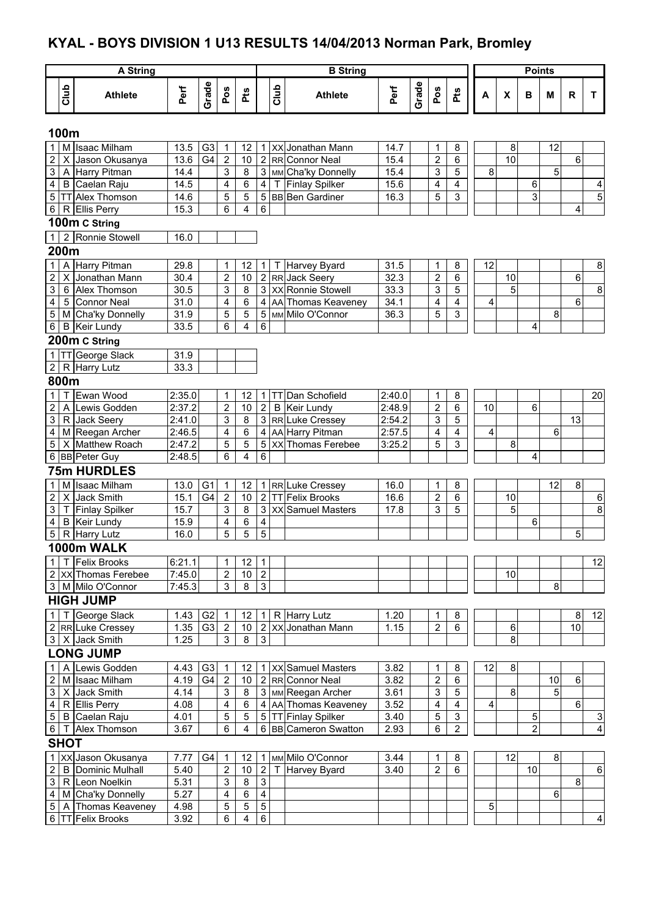## **KYAL - BOYS DIVISION 1 U13 RESULTS 14/04/2013 Norman Park, Bromley**

|                         |             | <b>A String</b>                            |              |                |                         |        |                              |      | <b>B</b> String                             |              |       |                         |                                  |   |    |    | <b>Points</b>       |        |              |                         |
|-------------------------|-------------|--------------------------------------------|--------------|----------------|-------------------------|--------|------------------------------|------|---------------------------------------------|--------------|-------|-------------------------|----------------------------------|---|----|----|---------------------|--------|--------------|-------------------------|
|                         | Club        | <b>Athlete</b>                             | Perf         | Grade          | Pos                     | Pts    |                              | Club | <b>Athlete</b>                              | Perf         | Grade | Pos                     | Pts                              | A |    | X  | B                   | M      | $\mathsf{R}$ | T                       |
|                         | 100m        |                                            |              |                |                         |        |                              |      |                                             |              |       |                         |                                  |   |    |    |                     |        |              |                         |
| 1 <sup>1</sup>          |             | M Isaac Milham                             | 13.5         | G <sub>3</sub> | 1                       | 12     |                              |      | 1   XX Jonathan Mann                        | 14.7         |       | 1                       | 8                                |   |    | 8  |                     | 12     |              |                         |
| $\overline{2}$          |             | X Jason Okusanya                           | 13.6         | G4             | $\overline{2}$          | 10     | $\overline{2}$               |      | RR Connor Neal                              | 15.4         |       | $\overline{2}$          | $\,6\,$                          |   |    | 10 |                     |        | 6            |                         |
| 3                       |             | A Harry Pitman                             | 14.4         |                | 3                       | 8      | 3                            |      | MM Cha'ky Donnelly                          | 15.4         |       | 3                       | 5                                |   | 8  |    |                     | 5      |              |                         |
| $\overline{\mathbf{4}}$ |             | B Caelan Raju                              | 14.5         |                | 4                       | 6      | 4                            |      | T Finlay Spilker                            | 15.6         |       | 4                       | $\overline{\mathbf{4}}$          |   |    |    | 6                   |        |              | $\overline{4}$          |
|                         |             | 5 TT Alex Thomson                          | 14.6         |                | 5                       | 5      | 5                            |      | <b>BB</b> Ben Gardiner                      | 16.3         |       | 5                       | $\overline{3}$                   |   |    |    | 3                   |        |              | $\overline{5}$          |
| 6                       |             | R Ellis Perry                              | 15.3         |                | 6                       | 4      | 6                            |      |                                             |              |       |                         |                                  |   |    |    |                     |        | 4            |                         |
|                         |             | 100m C String                              |              |                |                         |        |                              |      |                                             |              |       |                         |                                  |   |    |    |                     |        |              |                         |
| 1 <sup>1</sup>          |             | 2 Ronnie Stowell                           | 16.0         |                |                         |        |                              |      |                                             |              |       |                         |                                  |   |    |    |                     |        |              |                         |
|                         | 200m        |                                            |              |                |                         |        |                              |      |                                             |              |       |                         |                                  |   |    |    |                     |        |              |                         |
| 1 <sup>1</sup>          |             | A Harry Pitman                             | 29.8         |                | 1                       | 12     | $\mathbf{1}$                 |      | T Harvey Byard                              | 31.5         |       | $\mathbf 1$             | 8                                |   | 12 |    |                     |        |              | $\bf8$                  |
| 2 <sub>1</sub>          |             | X Jonathan Mann                            | 30.4         |                | $\overline{\mathbf{c}}$ | 10     |                              |      | 2 RR Jack Seery                             | 32.3         |       | $\overline{\mathbf{c}}$ | $\,6$                            |   |    | 10 |                     |        | 6            |                         |
| 3                       |             | 6 Alex Thomson                             | 30.5         |                | 3                       | 8      |                              |      | 3 XX Ronnie Stowell                         | 33.3         |       | 3                       | 5                                |   |    | 5  |                     |        |              | $\overline{8}$          |
| $\overline{\mathbf{4}}$ |             | 5 Connor Neal                              | 31.0         |                | 4                       | 6      | 4                            |      | AA Thomas Keaveney                          | 34.1         |       | 4                       | 4                                |   | 4  |    |                     |        | 6            |                         |
| 5 <sup>1</sup>          |             | M Cha'ky Donnelly                          | 31.9         |                | 5                       | 5      | 5                            |      | MM Milo O'Connor                            | 36.3         |       | 5                       | 3                                |   |    |    |                     | 8      |              |                         |
| $6 \mid$                |             | <b>B</b> Keir Lundy                        | 33.5         |                | 6                       | 4      | 6                            |      |                                             |              |       |                         |                                  |   |    |    | 4                   |        |              |                         |
|                         |             | 200m C String                              |              |                |                         |        |                              |      |                                             |              |       |                         |                                  |   |    |    |                     |        |              |                         |
|                         |             | 1 TT George Slack                          | 31.9         |                |                         |        |                              |      |                                             |              |       |                         |                                  |   |    |    |                     |        |              |                         |
|                         |             | $2   R$ Harry Lutz                         | 33.3         |                |                         |        |                              |      |                                             |              |       |                         |                                  |   |    |    |                     |        |              |                         |
|                         | 800m        |                                            |              |                |                         |        |                              |      |                                             |              |       |                         |                                  |   |    |    |                     |        |              |                         |
| $\mathbf{1}$            | т           | Ewan Wood                                  | 2:35.0       |                | 1                       | 12     | 1                            |      | TT Dan Schofield                            | 2:40.0       |       | 1                       | 8                                |   |    |    |                     |        |              | 20                      |
| $\overline{2}$          |             | A Lewis Godden                             | 2:37.2       |                | $\overline{2}$          | 10     | $\overline{2}$               |      | <b>B</b> Keir Lundy                         | 2:48.9       |       | $\overline{2}$          | 6                                |   | 10 |    | 6                   |        |              |                         |
| 3 <sup>1</sup>          |             | R Jack Seery                               | 2:41.0       |                | 3                       | 8      | 3                            |      | RR Luke Cressey                             | 2:54.2       |       | 3                       | 5                                |   |    |    |                     |        | 13           |                         |
| 4                       |             | M Reegan Archer                            | 2:46.5       |                | 4                       | 6      | 4                            |      | AA Harry Pitman                             | 2:57.5       |       | 4                       | 4                                |   | 4  |    |                     | 6      |              |                         |
| 5 <sup>5</sup>          |             | X Matthew Roach                            | 2:47.2       |                | 5                       | 5      | 5                            | XX   | <b>Thomas Ferebee</b>                       | 3:25.2       |       | 5                       | $\overline{3}$                   |   |    | 8  |                     |        |              |                         |
|                         |             | 6 BB Peter Guy                             | 2:48.5       |                | 6                       | 4      | 6                            |      |                                             |              |       |                         |                                  |   |    |    | 4                   |        |              |                         |
|                         |             | <b>75m HURDLES</b>                         |              |                |                         |        |                              |      |                                             |              |       |                         |                                  |   |    |    |                     |        |              |                         |
| $\mathbf{1}$            | M           | Isaac Milham                               | 13.0         | G <sub>1</sub> | $\mathbf{1}$            | 12     |                              |      | 1 RR Luke Cressey                           | 16.0         |       | 1                       | 8                                |   |    |    |                     | 12     | 8            |                         |
| 2 <sup>1</sup>          |             | X Jack Smith                               | 15.1         | G4             | $\boldsymbol{2}$        | 10     | 2 <sub>2</sub>               |      | TT Felix Brooks                             | 16.6         |       | $\overline{c}$          | 6                                |   |    | 10 |                     |        |              | $\,6$                   |
| $\mathbf{3}$            | T           | <b>Finlay Spilker</b>                      | 15.7         |                | 3                       | 8      |                              |      | 3 XX Samuel Masters                         | 17.8         |       | 3                       | 5                                |   |    | 5  |                     |        |              | 8                       |
| $\overline{\mathbf{4}}$ |             | <b>B</b> Keir Lundy                        | 15.9         |                | 4                       | 6<br>5 | $\overline{\mathbf{4}}$<br>5 |      |                                             |              |       |                         |                                  |   |    |    | 6                   |        |              |                         |
| 5 <sup>1</sup>          |             | R Harry Lutz                               | 16.0         |                | 5                       |        |                              |      |                                             |              |       |                         |                                  |   |    |    |                     |        | 5            |                         |
|                         |             | 1000m WALK                                 |              |                |                         |        |                              |      |                                             |              |       |                         |                                  |   |    |    |                     |        |              |                         |
|                         |             | 1   T   Felix Brooks                       | 6:21.1       |                | 1                       | 12     | $\mathbf{1}$                 |      |                                             |              |       |                         |                                  |   |    |    |                     |        |              | 12                      |
|                         |             | 2   XX Thomas Ferebee                      | 7:45.0       |                | $\overline{2}$          | $10$   | $\overline{2}$               |      |                                             |              |       |                         |                                  |   |    | 10 |                     |        |              |                         |
|                         |             | 3   M   Milo O'Connor                      | 7:45.3       |                | 3                       | 8      | $\overline{3}$               |      |                                             |              |       |                         |                                  |   |    |    |                     | $\, 8$ |              |                         |
|                         |             | <b>HIGH JUMP</b>                           |              |                |                         |        |                              |      |                                             |              |       |                         |                                  |   |    |    |                     |        |              |                         |
| 1                       |             | T George Slack                             | 1.43         | G <sub>2</sub> | $\mathbf{1}$            | 12     |                              |      | 1 R Harry Lutz                              | 1.20         |       | 1                       | 8                                |   |    |    |                     |        | 8            | 12                      |
|                         |             | 2 RR Luke Cressey                          | 1.35         | G <sub>3</sub> | $\overline{c}$          | 10     |                              |      | 2   XX Jonathan Mann                        | 1.15         |       | $\overline{\mathbf{c}}$ | $\,6\,$                          |   |    | 6  |                     |        | 10           |                         |
|                         |             | 3 X Jack Smith                             | 1.25         |                | 3                       | 8      | $\overline{3}$               |      |                                             |              |       |                         |                                  |   |    | 8  |                     |        |              |                         |
|                         |             | <b>LONG JUMP</b>                           |              |                |                         |        |                              |      |                                             |              |       |                         |                                  |   |    |    |                     |        |              |                         |
| $\mathbf{1}$            |             | A Lewis Godden                             | 4.43         | G <sub>3</sub> | 1                       | 12     |                              |      | 1   XX Samuel Masters                       | 3.82         |       | 1                       | 8                                |   | 12 | 8  |                     |        |              |                         |
|                         |             | 2 M Isaac Milham                           | 4.19         | G4             | $\overline{2}$          | 10     |                              |      | 2 RR Connor Neal                            | 3.82         |       | $\sqrt{2}$              | 6                                |   |    |    |                     | 10     | 6            |                         |
|                         |             | 3   X   Jack Smith                         | 4.14         |                | 3                       | 8      |                              |      | 3   MM Reegan Archer                        | 3.61         |       | 3                       | 5                                |   |    | 8  |                     | 5      |              |                         |
| 4 <sup>1</sup>          |             | R Ellis Perry                              | 4.08         |                | 4                       | 6      |                              |      | 4 AA Thomas Keaveney                        | 3.52         |       | $\overline{\mathbf{4}}$ | $\overline{4}$                   |   | 4  |    |                     |        | 6            |                         |
|                         |             | 5   B Caelan Raju                          | 4.01<br>3.67 |                | 5<br>6                  | 5<br>4 |                              |      | 5 TT Finlay Spilker<br>6 BB Cameron Swatton | 3.40<br>2.93 |       | 5<br>6                  | $\overline{3}$<br>$\overline{2}$ |   |    |    | 5<br>$\overline{c}$ |        |              | $\overline{3}$          |
|                         |             | 6   T Alex Thomson                         |              |                |                         |        |                              |      |                                             |              |       |                         |                                  |   |    |    |                     |        |              | 4                       |
|                         | <b>SHOT</b> |                                            |              |                |                         |        |                              |      |                                             |              |       |                         |                                  |   |    |    |                     |        |              |                         |
|                         |             | 1 XX Jason Okusanya                        | 7.77         | G4             | $\mathbf{1}$            | 12     |                              |      | 1 MM Milo O'Connor                          | 3.44         |       | 1                       | 8                                |   |    | 12 |                     | 8      |              |                         |
|                         |             | 2   B   Dominic Mulhall                    | 5.40         |                | $\overline{2}$          | $10$   | $\overline{2}$               |      | Harvey Byard                                | 3.40         |       | $\overline{2}$          | 6                                |   |    |    | 10                  |        |              | 6                       |
|                         |             | 3 R Leon Noelkin                           | 5.31         |                | 3                       | 8      | $\overline{3}$               |      |                                             |              |       |                         |                                  |   |    |    |                     |        | 8            |                         |
|                         |             | 4 M Cha'ky Donnelly<br>5 A Thomas Keaveney | 5.27<br>4.98 |                | 4<br>5                  | 6<br>5 | 4<br>$\overline{5}$          |      |                                             |              |       |                         |                                  |   | 5  |    |                     | 6      |              |                         |
|                         |             | 6 TT Felix Brooks                          | 3.92         |                | 6                       | 4      | 6                            |      |                                             |              |       |                         |                                  |   |    |    |                     |        |              | $\overline{\mathbf{4}}$ |
|                         |             |                                            |              |                |                         |        |                              |      |                                             |              |       |                         |                                  |   |    |    |                     |        |              |                         |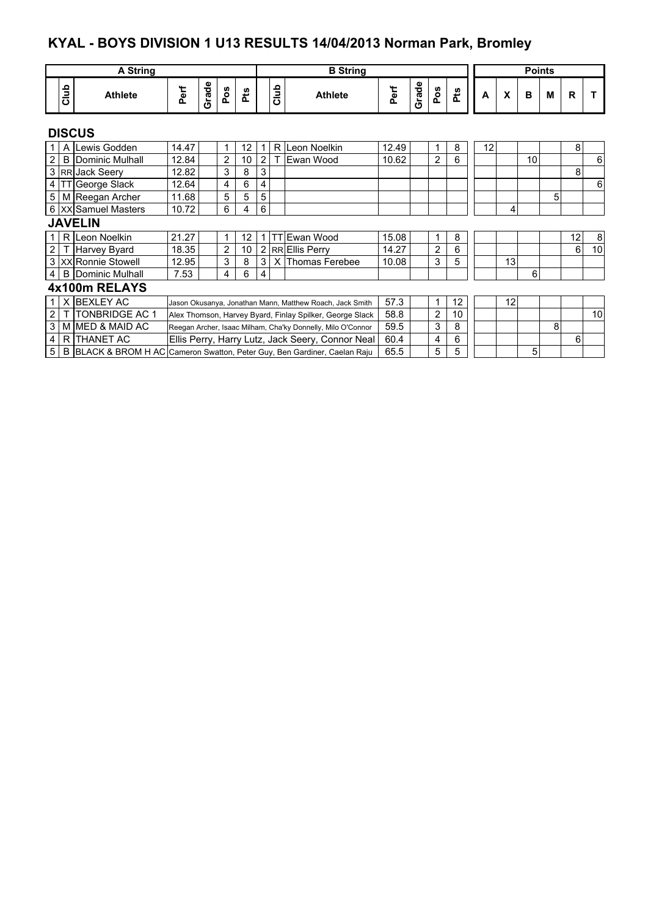## **KYAL - BOYS DIVISION 1 U13 RESULTS 14/04/2013 Norman Park, Bromley**

|                  | <b>A String</b>       |                                                                           |       |       |                |                   |                                                  |                                                             | <b>B</b> String                                          |       |       |                |            |    |    | <b>Points</b> |   |    |    |
|------------------|-----------------------|---------------------------------------------------------------------------|-------|-------|----------------|-------------------|--------------------------------------------------|-------------------------------------------------------------|----------------------------------------------------------|-------|-------|----------------|------------|----|----|---------------|---|----|----|
|                  | Club                  | <b>Athlete</b>                                                            | Perf  | Grade | Pos            | <b>Pts</b>        |                                                  | Club                                                        | <b>Athlete</b>                                           | Perf  | Grade | Pos            | <b>Pts</b> | A  | X  | B             | M | R. |    |
|                  |                       | <b>DISCUS</b>                                                             |       |       |                |                   |                                                  |                                                             |                                                          |       |       |                |            |    |    |               |   |    |    |
|                  | A                     | Lewis Godden                                                              | 14.47 |       | 1              | 12                |                                                  |                                                             | R Leon Noelkin                                           | 12.49 |       | 1              | 8          | 12 |    |               |   | 8  |    |
| $\overline{2}$   |                       | <b>B</b> Dominic Mulhall                                                  | 12.84 |       | $\overline{2}$ | 10                | 2                                                |                                                             | Ewan Wood                                                | 10.62 |       | $\overline{2}$ | 6          |    |    | 10            |   |    | 6  |
|                  |                       | 3 RR Jack Seery                                                           | 12.82 |       | 3              | 8                 | 3                                                |                                                             |                                                          |       |       |                |            |    |    |               |   | 8  |    |
|                  |                       | 4 TT George Slack                                                         | 12.64 |       | 4              | 6                 | 4                                                |                                                             |                                                          |       |       |                |            |    |    |               |   |    | 6  |
| 5 <sup>1</sup>   |                       | M Reegan Archer                                                           | 11.68 |       | 5              | 5                 | 5                                                |                                                             |                                                          |       |       |                |            |    |    |               | 5 |    |    |
|                  |                       | 6 XX Samuel Masters                                                       | 10.72 |       | 6              | 4                 | 6                                                |                                                             |                                                          |       |       |                |            |    | 4  |               |   |    |    |
|                  |                       | <b>JAVELIN</b>                                                            |       |       |                |                   |                                                  |                                                             |                                                          |       |       |                |            |    |    |               |   |    |    |
|                  |                       | R Leon Noelkin                                                            | 21.27 |       | $\mathbf{1}$   | $12 \overline{ }$ |                                                  |                                                             | 1 TT Ewan Wood                                           | 15.08 |       | 1              | 8          |    |    |               |   | 12 | 8  |
| $\overline{2}$   |                       | Harvey Byard                                                              | 18.35 |       | $\overline{2}$ | 10                |                                                  |                                                             | 2 RR Ellis Perry                                         | 14.27 |       | $\overline{2}$ | 6          |    |    |               |   | 6  | 10 |
|                  |                       | 3 XX Ronnie Stowell                                                       | 12.95 |       | 3              | 8                 | 3                                                |                                                             | X Thomas Ferebee                                         | 10.08 |       | 3              | 5          |    | 13 |               |   |    |    |
| $\overline{4}$   |                       | <b>B</b> Dominic Mulhall                                                  | 7.53  |       | 4              | 6                 | 4                                                |                                                             |                                                          |       |       |                |            |    |    | 6             |   |    |    |
|                  |                       | 4x100m RELAYS                                                             |       |       |                |                   |                                                  |                                                             |                                                          |       |       |                |            |    |    |               |   |    |    |
|                  | X.                    | <b>BEXLEY AC</b>                                                          |       |       |                |                   |                                                  |                                                             | Jason Okusanya, Jonathan Mann, Matthew Roach, Jack Smith | 57.3  |       | 1              | 12         |    | 12 |               |   |    |    |
| 2                | <b>TONBRIDGE AC 1</b> |                                                                           |       |       |                |                   |                                                  |                                                             | Alex Thomson, Harvey Byard, Finlay Spilker, George Slack | 58.8  |       | $\overline{2}$ | 10         |    |    |               |   |    | 10 |
| 3                | M MED & MAID AC       |                                                                           |       |       |                |                   |                                                  | Reegan Archer, Isaac Milham, Cha'ky Donnelly, Milo O'Connor | 59.5                                                     |       | 3     | 8              |            |    |    | 8             |   |    |    |
| R THANET AC<br>4 |                       |                                                                           |       |       |                |                   | Ellis Perry, Harry Lutz, Jack Seery, Connor Neal | 60.4                                                        |                                                          | 4     | 6     |                |            |    |    | 6             |   |    |    |
| 5                |                       | B BLACK & BROM H AC Cameron Swatton, Peter Guy, Ben Gardiner, Caelan Raju |       |       |                |                   |                                                  |                                                             |                                                          | 65.5  |       | 5              | 5          |    |    | 5             |   |    |    |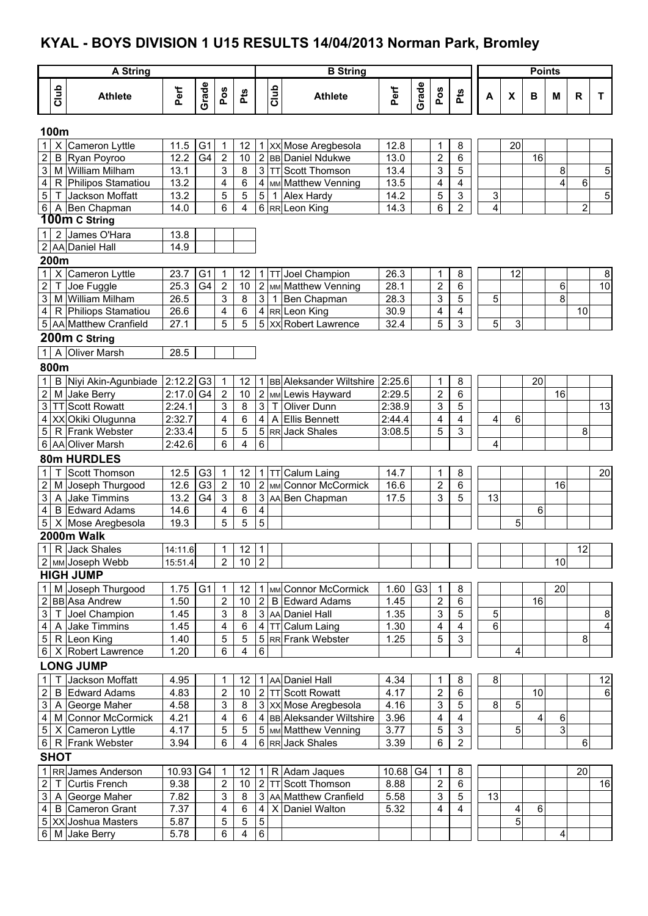#### **KYAL - BOYS DIVISION 1 U15 RESULTS 14/04/2013 Norman Park, Bromley**

|                                  | <b>A String</b>                           |              |                                  |                         |                |                         |      | <b>B</b> String                                   |              |                |                         |            |                     |    | <b>Points</b> |        |                |    |
|----------------------------------|-------------------------------------------|--------------|----------------------------------|-------------------------|----------------|-------------------------|------|---------------------------------------------------|--------------|----------------|-------------------------|------------|---------------------|----|---------------|--------|----------------|----|
| Club                             | <b>Athlete</b>                            | Perf         | Grade                            | Pos                     | Pts            |                         | Club | <b>Athlete</b>                                    | Perf         | Grade          | Pos                     | <b>Pts</b> | A                   | X  | B             | M      | $\mathsf{R}$   | T  |
| 100m                             |                                           |              |                                  |                         |                |                         |      |                                                   |              |                |                         |            |                     |    |               |        |                |    |
| $\mathbf{1}$                     | X Cameron Lyttle                          | 11.5         | G <sub>1</sub>                   | $\mathbf{1}$            | 12             |                         |      | 1   XX Mose Aregbesola                            | 12.8         |                | 1                       | 8          |                     | 20 |               |        |                |    |
| $\overline{2}$                   | <b>B</b> Ryan Poyroo                      | 12.2         | G4                               | $\overline{2}$          | 10             |                         |      | 2 BB Daniel Ndukwe                                | 13.0         |                | $\overline{c}$          | 6          |                     |    | 16            |        |                |    |
| 3                                | M William Milham                          | 13.1         |                                  | 3                       | 8              | 3 <sup>1</sup>          |      | TT Scott Thomson                                  | 13.4         |                | 3                       | 5          |                     |    |               | 8      |                | 5  |
| $\overline{\mathbf{4}}$          | R Philipos Stamatiou                      | 13.2         |                                  | $\overline{\mathbf{4}}$ | 6              | 4                       |      | MM Matthew Venning                                | 13.5         |                | $\overline{\mathbf{4}}$ | 4          |                     |    |               | 4      | 6              |    |
| 5<br>6 <sup>1</sup>              | T Jackson Moffatt<br>A Ben Chapman        | 13.2<br>14.0 |                                  | 5<br>6                  | 5<br>4         | 5                       | 1    | <b>Alex Hardy</b><br>6 RR Leon King               | 14.2<br>14.3 |                | 5<br>6                  | 3<br>2     | 3<br>$\overline{4}$ |    |               |        | $\overline{2}$ | 5  |
|                                  | 100m C String                             |              |                                  |                         |                |                         |      |                                                   |              |                |                         |            |                     |    |               |        |                |    |
| 2<br>$\mathbf{1}$                | James O'Hara                              | 13.8         |                                  |                         |                |                         |      |                                                   |              |                |                         |            |                     |    |               |        |                |    |
|                                  | 2 AA Daniel Hall                          | 14.9         |                                  |                         |                |                         |      |                                                   |              |                |                         |            |                     |    |               |        |                |    |
| 200m                             |                                           |              |                                  |                         |                |                         |      |                                                   |              |                |                         |            |                     |    |               |        |                |    |
| 1                                | X Cameron Lyttle                          | 23.7         | G <sub>1</sub>                   | 1                       | 12             | 1 <sup>1</sup>          |      | TT Joel Champion                                  | 26.3         |                | 1                       | 8          |                     | 12 |               |        |                | 8  |
| $\overline{c}$<br>Т              | Joe Fuggle                                | 25.3         | $\overline{G4}$                  | $\overline{2}$          | 10             |                         |      | 2 MM Matthew Venning                              | 28.1         |                | $\overline{2}$          | 6          |                     |    |               | 6      |                | 10 |
| $\mathfrak{S}$<br>$\overline{4}$ | M William Milham<br>R Philiops Stamatiou  | 26.5<br>26.6 |                                  | $\mathsf 3$<br>4        | 8<br>6         | دى                      | 1    | Ben Chapman<br>4 RR Leon King                     | 28.3<br>30.9 |                | 3<br>4                  | 5<br>4     | 5                   |    |               | 8      | 10             |    |
|                                  | 5 AA Matthew Cranfield                    | 27.1         |                                  | 5                       | $\overline{5}$ | $\overline{5}$          |      | <b>XX</b> Robert Lawrence                         | 32.4         |                | 5                       | 3          | 5                   | 3  |               |        |                |    |
|                                  | 200m C String                             |              |                                  |                         |                |                         |      |                                                   |              |                |                         |            |                     |    |               |        |                |    |
|                                  | 1   A   Oliver Marsh                      | 28.5         |                                  |                         |                |                         |      |                                                   |              |                |                         |            |                     |    |               |        |                |    |
| 800m                             |                                           |              |                                  |                         |                |                         |      |                                                   |              |                |                         |            |                     |    |               |        |                |    |
| 1                                | B Niyi Akin-Agunbiade                     | 2:12.2       | G <sub>3</sub>                   | 1                       | 12             |                         |      | 1 BB Aleksander Wiltshire                         | 2:25.6       |                | 1                       | 8          |                     |    | 20            |        |                |    |
| $\overline{2}$                   | M Jake Berry                              | 2:17.0       | G <sub>4</sub>                   | $\overline{2}$          | 10             |                         |      | 2 MM Lewis Hayward                                | 2:29.5       |                | $\overline{2}$          | 6          |                     |    |               | 16     |                |    |
| 3                                | TT Scott Rowatt                           | 2:24.1       |                                  | 3                       | 8              | 3 <sup>1</sup>          | Τ    | <b>Oliver Dunn</b>                                | 2:38.9       |                | 3                       | 5          |                     |    |               |        |                | 13 |
| 4                                | XX Okiki Olugunna                         | 2:32.7       |                                  | 4                       | 6              | $\overline{4}$          | A    | <b>Ellis Bennett</b>                              | 2:44.4       |                | 4                       | 4          | 4                   | 6  |               |        |                |    |
| 5 <sup>1</sup>                   | R Frank Webster                           | 2:33.4       |                                  | 5                       | 5              | $\overline{5}$          |      | RR Jack Shales                                    | 3:08.5       |                | 5                       | 3          |                     |    |               |        | 8              |    |
| 6 <sup>1</sup>                   | AA Oliver Marsh                           | 2:42.6       |                                  | 6                       | 4              | 6                       |      |                                                   |              |                |                         |            | 4                   |    |               |        |                |    |
|                                  | 80m HURDLES                               |              |                                  |                         |                |                         |      |                                                   |              |                |                         |            |                     |    |               |        |                |    |
| $\mathbf 1$<br>$\overline{c}$    | <b>Scott Thomson</b><br>M Joseph Thurgood | 12.5<br>12.6 | G <sub>3</sub><br>G <sub>3</sub> | 1<br>$\overline{2}$     | 12<br>10       |                         |      | 1 TT Calum Laing<br>2 MM Connor McCormick         | 14.7<br>16.6 |                | 1<br>$\overline{2}$     | 8<br>6     |                     |    |               | 16     |                | 20 |
| 3                                | A Jake Timmins                            | 13.2         | G <sub>4</sub>                   | 3                       | 8              |                         |      | 3 AA Ben Chapman                                  | 17.5         |                | 3                       | 5          | 13                  |    |               |        |                |    |
| $\overline{\mathbf{4}}$          | <b>B</b> Edward Adams                     | 14.6         |                                  | 4                       | 6              | $\overline{\mathbf{4}}$ |      |                                                   |              |                |                         |            |                     |    | 6             |        |                |    |
| $\overline{5}$                   | X Mose Aregbesola                         | 19.3         |                                  | 5                       | 5              | $\overline{5}$          |      |                                                   |              |                |                         |            |                     | 5  |               |        |                |    |
|                                  | 2000m Walk                                |              |                                  |                         |                |                         |      |                                                   |              |                |                         |            |                     |    |               |        |                |    |
| <u> 1 I</u>                      | R Jack Shales                             | 14:11.6      |                                  | 1                       | $12 \mid 1$    |                         |      |                                                   |              |                |                         |            |                     |    |               |        | 12             |    |
|                                  | 2 мм Joseph Webb                          | 15:51.4      |                                  | $\overline{2}$          | $10 \mid 2$    |                         |      |                                                   |              |                |                         |            |                     |    |               | 10     |                |    |
|                                  | <b>HIGH JUMP</b>                          |              |                                  |                         |                |                         |      |                                                   |              |                |                         |            |                     |    |               |        |                |    |
| 1                                | M Joseph Thurgood<br>2 BB Asa Andrew      | 1.75<br>1.50 | G <sub>1</sub>                   | 1<br>$\boldsymbol{2}$   | 12<br>10       | 2 <sup>1</sup>          |      | 1 MM Connor McCormick<br><b>B</b> Edward Adams    | 1.60<br>1.45 | G <sub>3</sub> | 1<br>$\overline{2}$     | 8<br>6     |                     |    | 16            | 20     |                |    |
| 3                                | T Joel Champion                           | 1.45         |                                  | 3                       | 8              |                         |      | 3 AA Daniel Hall                                  | 1.35         |                | 3                       | 5          | 5                   |    |               |        |                | 8  |
| 4                                | A Jake Timmins                            | 1.45         |                                  | 4                       | 6              |                         |      | 4   TT   Calum Laing                              | 1.30         |                | 4                       | 4          | 6                   |    |               |        |                | 4  |
| 5 <sub>5</sub>                   | R Leon King                               | 1.40         |                                  | 5                       | 5              |                         |      | 5 RR Frank Webster                                | 1.25         |                | 5                       | 3          |                     |    |               |        | 8              |    |
| $6 \mid$                         | X Robert Lawrence                         | 1.20         |                                  | 6                       | 4              | $\,6\,$                 |      |                                                   |              |                |                         |            |                     | 4  |               |        |                |    |
|                                  | <b>LONG JUMP</b>                          |              |                                  |                         |                |                         |      |                                                   |              |                |                         |            |                     |    |               |        |                |    |
| $\mathbf 1$                      | Jackson Moffatt                           | 4.95         |                                  | 1                       | 12             |                         |      | 1 AA Daniel Hall                                  | 4.34         |                | 1                       | 8          | 8                   |    |               |        |                | 12 |
| $\overline{2}$                   | <b>B</b> Edward Adams                     | 4.83         |                                  | 2                       | 10             |                         |      | 2 TT Scott Rowatt                                 | 4.17         |                | $\overline{c}$          | 6          |                     |    | 10            |        |                | 6  |
| 3 <sup>1</sup>                   | A George Maher                            | 4.58         |                                  | 3                       | 8              |                         |      | 3 XX Mose Aregbesola                              | 4.16         |                | 3                       | 5          | 8                   | 5  |               |        |                |    |
| 4<br>5 <sup>1</sup>              | M Connor McCormick<br>X Cameron Lyttle    | 4.21<br>4.17 |                                  | 4<br>5                  | 6<br>5         |                         |      | 4 BB Aleksander Wiltshire<br>5 MM Matthew Venning | 3.96<br>3.77 |                | 4<br>5                  | 4<br>3     |                     | 5  | 4             | 6<br>3 |                |    |
| 6                                | R Frank Webster                           | 3.94         |                                  | 6                       | 4              |                         |      | 6 RR Jack Shales                                  | 3.39         |                | 6                       | 2          |                     |    |               |        | 6              |    |
| <b>SHOT</b>                      |                                           |              |                                  |                         |                |                         |      |                                                   |              |                |                         |            |                     |    |               |        |                |    |
| 1                                | RR James Anderson                         | 10.93        | G <sub>4</sub>                   | $\mathbf{1}$            | 12             | 11                      |      | R Adam Jaques                                     | 10.68        | G4             | 1                       | 8          |                     |    |               |        | 20             |    |
| $\overline{c}$                   | T Curtis French                           | 9.38         |                                  | $\boldsymbol{2}$        | 10             |                         |      | 2 TT Scott Thomson                                | 8.88         |                | $\boldsymbol{2}$        | 6          |                     |    |               |        |                | 16 |
| 3                                | A George Maher                            | 7.82         |                                  | 3                       | 8              |                         |      | 3 AA Matthew Cranfield                            | 5.58         |                | 3                       | 5          | 13                  |    |               |        |                |    |
| $\overline{4}$                   | <b>B</b> Cameron Grant                    | 7.37         |                                  | 4                       | 6              | 4                       |      | X Daniel Walton                                   | 5.32         |                | 4                       | 4          |                     | 4  | 6             |        |                |    |
|                                  | 5 XX Joshua Masters                       | 5.87         |                                  | 5                       | 5              | $\mathbf 5$             |      |                                                   |              |                |                         |            |                     | 5  |               |        |                |    |
|                                  | 6 M Jake Berry                            | 5.78         |                                  | 6                       | $\overline{4}$ | $6\overline{6}$         |      |                                                   |              |                |                         |            |                     |    |               | 4      |                |    |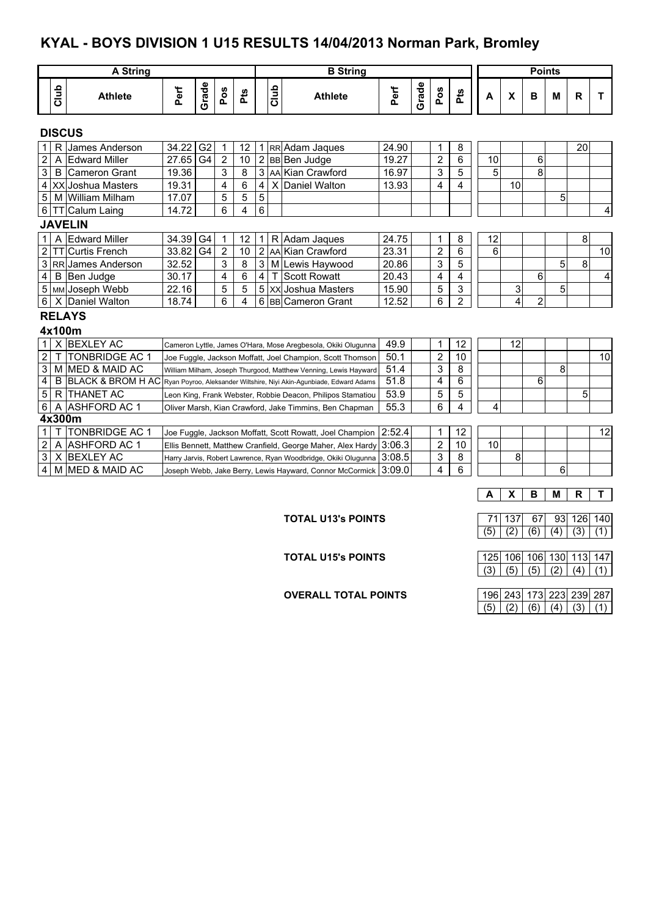## **KYAL - BOYS DIVISION 1 U15 RESULTS 14/04/2013 Norman Park, Bromley**

|                                                                                                     | <b>A String</b>                                                             |                         |                                                                |                |                |     |                |             | <b>B</b> String                                                      |                |              |                |                         |    |                | <b>Points</b>  |   |    |    |
|-----------------------------------------------------------------------------------------------------|-----------------------------------------------------------------------------|-------------------------|----------------------------------------------------------------|----------------|----------------|-----|----------------|-------------|----------------------------------------------------------------------|----------------|--------------|----------------|-------------------------|----|----------------|----------------|---|----|----|
|                                                                                                     | Club                                                                        | <b>Athlete</b>          | Perf                                                           | Grade          | Pos            | Pts |                | <b>Club</b> | <b>Athlete</b>                                                       | Perf           | Grade        | Pos            | Pts                     | A  | X              | в              | M | R  | т  |
|                                                                                                     |                                                                             | <b>DISCUS</b>           |                                                                |                |                |     |                |             |                                                                      |                |              |                |                         |    |                |                |   |    |    |
| 1 <sup>1</sup>                                                                                      | R                                                                           | James Anderson          | 34.22                                                          | G <sub>2</sub> | 1              | 12  |                |             | 1 RR Adam Jaques                                                     | 24.90          |              | 1              | 8                       |    |                |                |   | 20 |    |
| $\overline{2}$                                                                                      | A                                                                           | <b>Edward Miller</b>    | 27.65                                                          | G4             | $\overline{2}$ | 10  |                |             | 2 BB Ben Judge                                                       | 19.27          |              | $\overline{2}$ | 6                       | 10 |                | 6              |   |    |    |
| $\mathbf{3}$                                                                                        |                                                                             | <b>B</b> Cameron Grant  | 19.36                                                          |                | 3              | 8   |                |             | 3 AA Kian Crawford                                                   | 16.97          |              | 3              | 5                       | 5  |                | 8              |   |    |    |
|                                                                                                     |                                                                             | 4 XX Joshua Masters     | 19.31                                                          |                | 4              | 6   | $\overline{4}$ |             | X Daniel Walton                                                      | 13.93          |              | 4              | 4                       |    | 10             |                |   |    |    |
| 5                                                                                                   |                                                                             | M William Milham        | 17.07                                                          |                | 5              | 5   | $\overline{5}$ |             |                                                                      |                |              |                |                         |    |                |                | 5 |    |    |
|                                                                                                     |                                                                             | 6 TT Calum Laing        | 14.72                                                          |                | 6              | 4   | $\overline{6}$ |             |                                                                      |                |              |                |                         |    |                |                |   |    | 4  |
|                                                                                                     |                                                                             | <b>JAVELIN</b>          |                                                                |                |                |     |                |             |                                                                      |                |              |                |                         |    |                |                |   |    |    |
| 1                                                                                                   |                                                                             | A Edward Miller         | 34.39                                                          | G <sub>4</sub> | $\mathbf{1}$   | 12  | $\mathbf{1}$   |             | R Adam Jaques                                                        | 24.75          |              | 1              | 8                       | 12 |                |                |   | 8  |    |
| $2 \mid$                                                                                            |                                                                             | <b>TTICurtis French</b> | 33.82                                                          | G4             | $\overline{2}$ | 10  |                |             | 2 AA Kian Crawford                                                   | 23.31          |              | 2              | 6                       | 6  |                |                |   |    | 10 |
|                                                                                                     |                                                                             | 3 RR James Anderson     | 32.52                                                          |                | 3              | 8   |                |             | 3 M Lewis Haywood                                                    | 20.86          |              | 3              | $\overline{5}$          |    |                |                | 5 | 8  |    |
| $\overline{4}$                                                                                      |                                                                             | B Ben Judge             | 30.17                                                          |                | 4              | 6   | $\vert$ 4      | $\top$      | Scott Rowatt                                                         | 20.43          |              | 4              | 4                       |    |                | 6              |   |    | 4  |
|                                                                                                     |                                                                             | 5 MM Joseph Webb        | 22.16                                                          |                | 5              | 5   |                |             | 5 XX Joshua Masters                                                  | 15.90          |              | 5              | 3                       |    | 3              |                | 5 |    |    |
| 6                                                                                                   |                                                                             | X Daniel Walton         | 18.74                                                          |                | 6              | 4   |                |             | 6 BB Cameron Grant                                                   | 12.52          |              | 6              | $\overline{2}$          |    | $\overline{4}$ | $\overline{2}$ |   |    |    |
|                                                                                                     |                                                                             | <b>RELAYS</b>           |                                                                |                |                |     |                |             |                                                                      |                |              |                |                         |    |                |                |   |    |    |
|                                                                                                     |                                                                             | 4x100m                  |                                                                |                |                |     |                |             |                                                                      |                |              |                |                         |    |                |                |   |    |    |
|                                                                                                     |                                                                             | X BEXLEY AC             |                                                                |                |                |     |                |             | Cameron Lyttle, James O'Hara, Mose Aregbesola, Okiki Olugunna        | 49.9           |              | 1              | 12                      |    | 12             |                |   |    |    |
| $\overline{2}$                                                                                      | T                                                                           | <b>TONBRIDGE AC 1</b>   |                                                                |                |                |     |                |             | Joe Fuggle, Jackson Moffatt, Joel Champion, Scott Thomson            | 50.1           |              | $\sqrt{2}$     | 10                      |    |                |                |   |    | 10 |
| $\mathbf{3}$                                                                                        |                                                                             | M MED & MAID AC         |                                                                |                |                |     |                |             | William Milham, Joseph Thurgood, Matthew Venning, Lewis Hayward      | 51.4           |              | 3              | 8                       |    |                |                | 8 |    |    |
| $\overline{\mathbf{4}}$                                                                             |                                                                             | B BLACK & BROM H AC     |                                                                |                |                |     |                |             | Ryan Poyroo, Aleksander Wiltshire, Niyi Akin-Agunbiade, Edward Adams | 51.8           |              | 4              | 6                       |    |                | 6              |   |    |    |
| $\overline{5}$                                                                                      |                                                                             | R THANET AC             |                                                                |                |                |     |                |             | Leon King, Frank Webster, Robbie Deacon, Philipos Stamatiou          | 53.9           |              | 5              | 5                       |    |                |                |   | 5  |    |
| 6                                                                                                   | A                                                                           | <b>ASHFORD AC 1</b>     |                                                                |                |                |     |                |             | Oliver Marsh, Kian Crawford, Jake Timmins, Ben Chapman               | 55.3           |              | 6              | $\overline{\mathbf{4}}$ | 4  |                |                |   |    |    |
| 4x300m                                                                                              |                                                                             |                         |                                                                |                |                |     |                |             |                                                                      |                |              |                |                         |    |                |                |   |    |    |
| <b>TONBRIDGE AC 1</b><br>1 <sup>1</sup><br>Joe Fuggle, Jackson Moffatt, Scott Rowatt, Joel Champion |                                                                             |                         |                                                                |                |                |     |                |             | 2:52.4                                                               |                | $\mathbf{1}$ | 12             |                         |    |                |                |   | 12 |    |
| $\mathbf{2}$<br>A ASHFORD AC 1<br>Ellis Bennett, Matthew Cranfield, George Maher, Alex Hardy        |                                                                             |                         |                                                                |                |                |     |                | 3:06.3      |                                                                      | $\overline{2}$ | 10           | 10             |                         |    |                |                |   |    |    |
| $\mathbf{3}$                                                                                        |                                                                             | X BEXLEY AC             | Harry Jarvis, Robert Lawrence, Ryan Woodbridge, Okiki Olugunna |                |                |     |                |             |                                                                      | 3:08.5         |              | 3              | 8                       |    | 8              |                |   |    |    |
| 4                                                                                                   | M MED & MAID AC<br>Joseph Webb, Jake Berry, Lewis Hayward, Connor McCormick |                         |                                                                |                |                |     |                |             |                                                                      | 3:09.0         |              | 4              | 6                       |    |                |                | 6 |    |    |
|                                                                                                     |                                                                             |                         |                                                                |                |                |     |                |             |                                                                      |                |              |                |                         |    |                |                |   |    |    |

**TOTAL U15's POINTS** 

**OVERALL TOTAL POINTS** 

**A X B M R T**

**TOTAL U13's POINTS** 71 137 67 93 126 140  $(5) (2) (6) (4) (3) (1)$ 

|  |  | 125   106   106   130   113   147 |
|--|--|-----------------------------------|
|  |  | (5)   (5)   (2)   (4)   (1)       |

|  |     |  | 96 243 173 223 239 287 |
|--|-----|--|------------------------|
|  | (6) |  |                        |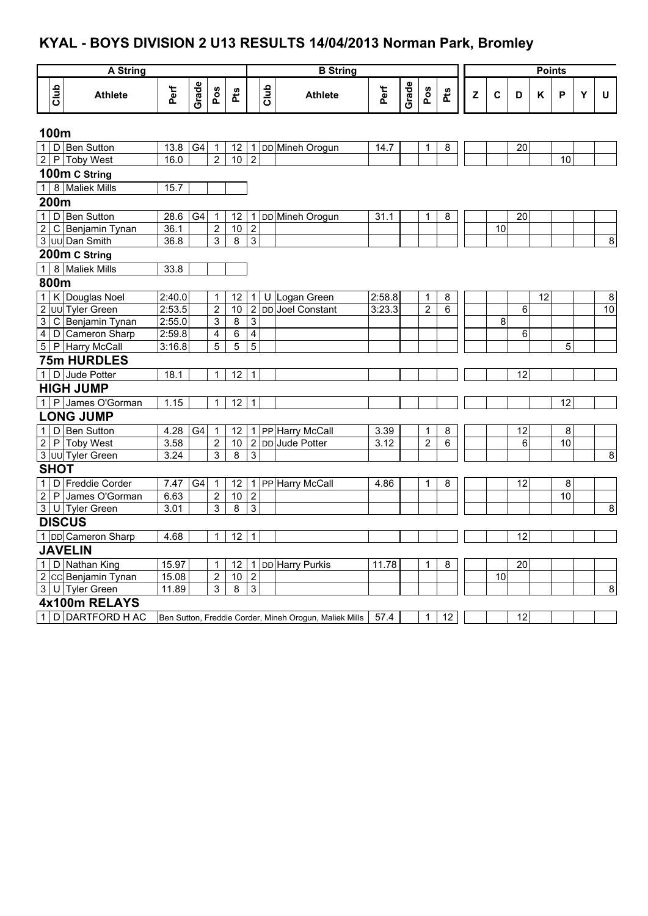# **KYAL - BOYS DIVISION 2 U13 RESULTS 14/04/2013 Norman Park, Bromley**

|                | A String |                        |        |       |                |                         | <b>B</b> String |      |                                                        |        |       | <b>Points</b>  |     |   |                 |                 |    |    |   |                  |
|----------------|----------|------------------------|--------|-------|----------------|-------------------------|-----------------|------|--------------------------------------------------------|--------|-------|----------------|-----|---|-----------------|-----------------|----|----|---|------------------|
|                |          |                        |        |       |                |                         |                 |      |                                                        |        |       |                |     |   |                 |                 |    |    |   |                  |
|                | Club     | <b>Athlete</b>         | Perf   | Grade | Pos            | Pts                     |                 | Club | <b>Athlete</b>                                         | Perf   | Grade | Pos            | Pts | Z | $\mathbf c$     | D               | K  | P  | Y | U                |
| 100m           |          |                        |        |       |                |                         |                 |      |                                                        |        |       |                |     |   |                 |                 |    |    |   |                  |
|                |          | 1 D Ben Sutton         | 13.8   | G4    | 1              | 12                      | $\mathbf{1}$    |      | DD Mineh Orogun                                        | 14.7   |       | 1              | 8   |   |                 | 20              |    |    |   |                  |
|                |          | 2 P Toby West          | 16.0   |       | $\overline{2}$ | $\overline{10}$         | $\overline{2}$  |      |                                                        |        |       |                |     |   |                 |                 |    | 10 |   |                  |
|                |          | 100m C String          |        |       |                |                         |                 |      |                                                        |        |       |                |     |   |                 |                 |    |    |   |                  |
|                |          | 1 8 Maliek Mills       | 15.7   |       |                |                         |                 |      |                                                        |        |       |                |     |   |                 |                 |    |    |   |                  |
| 200m           |          |                        |        |       |                |                         |                 |      |                                                        |        |       |                |     |   |                 |                 |    |    |   |                  |
|                |          | 1 D Ben Sutton         | 28.6   | G4    | 1              | 12                      | 1               |      | DD Mineh Orogun                                        | 31.1   |       | 1              | 8   |   |                 | 20              |    |    |   |                  |
| $\overline{2}$ |          | C Benjamin Tynan       | 36.1   |       | $\overline{2}$ | 10                      | $\overline{2}$  |      |                                                        |        |       |                |     |   | $\overline{10}$ |                 |    |    |   |                  |
|                |          | 3 UU Dan Smith         | 36.8   |       | 3              | $\overline{8}$          | $\overline{3}$  |      |                                                        |        |       |                |     |   |                 |                 |    |    |   | $\boldsymbol{8}$ |
|                |          | 200m C String          |        |       |                |                         |                 |      |                                                        |        |       |                |     |   |                 |                 |    |    |   |                  |
|                |          | 1 8 Maliek Mills       | 33.8   |       |                |                         |                 |      |                                                        |        |       |                |     |   |                 |                 |    |    |   |                  |
| 800m           |          |                        |        |       |                |                         |                 |      |                                                        |        |       |                |     |   |                 |                 |    |    |   |                  |
|                |          | 1 K Douglas Noel       | 2:40.0 |       | 1              | 12                      | 1               | U    | Logan Green                                            | 2:58.8 |       | $\mathbf{1}$   | 8   |   |                 |                 | 12 |    |   | $\bf 8$          |
| $\overline{2}$ |          | <b>JUU</b> Tyler Green | 2:53.5 |       | $\mathbf 2$    | 10                      | $\overline{2}$  |      | DD Joel Constant                                       | 3:23.3 |       | $\overline{2}$ | 6   |   |                 | 6               |    |    |   | 10               |
| $\overline{3}$ |          | C Benjamin Tynan       | 2:55.0 |       | 3              | $\overline{8}$          | $\overline{3}$  |      |                                                        |        |       |                |     |   | 8               |                 |    |    |   |                  |
| $\overline{4}$ |          | D Cameron Sharp        | 2:59.8 |       | $\overline{4}$ | $\overline{6}$          | $\overline{4}$  |      |                                                        |        |       |                |     |   |                 | $\,6\,$         |    |    |   |                  |
|                |          | 5 P Harry McCall       | 3:16.8 |       | 5              | 5                       | $\overline{5}$  |      |                                                        |        |       |                |     |   |                 |                 |    | 5  |   |                  |
|                |          | <b>75m HURDLES</b>     |        |       |                |                         |                 |      |                                                        |        |       |                |     |   |                 |                 |    |    |   |                  |
|                |          | 1 D Jude Potter        | 18.1   |       | $\mathbf{1}$   | 12                      | 1               |      |                                                        |        |       |                |     |   |                 | 12              |    |    |   |                  |
|                |          | <b>HIGH JUMP</b>       |        |       |                |                         |                 |      |                                                        |        |       |                |     |   |                 |                 |    |    |   |                  |
|                |          | 1 P James O'Gorman     | 1.15   |       | $\mathbf{1}$   | 12                      | $\mathbf 1$     |      |                                                        |        |       |                |     |   |                 |                 |    | 12 |   |                  |
|                |          | <b>LONG JUMP</b>       |        |       |                |                         |                 |      |                                                        |        |       |                |     |   |                 |                 |    |    |   |                  |
|                |          | 1 D Ben Sutton         | 4.28   | G4    | 1              | 12                      | $\mathbf{1}$    |      | PP Harry McCall                                        | 3.39   |       | 1              | 8   |   |                 | 12              |    | 8  |   |                  |
|                |          | 2 P Toby West          | 3.58   |       | $\overline{2}$ | 10                      | $\overline{2}$  |      | DD Jude Potter                                         | 3.12   |       | $\overline{2}$ | 6   |   |                 | 6               |    | 10 |   |                  |
|                |          | 3 UU Tyler Green       | 3.24   |       | 3              | $\overline{8}$          | $\overline{3}$  |      |                                                        |        |       |                |     |   |                 |                 |    |    |   | $\boldsymbol{8}$ |
| <b>SHOT</b>    |          |                        |        |       |                |                         |                 |      |                                                        |        |       |                |     |   |                 |                 |    |    |   |                  |
|                |          | 1 D Freddie Corder     | 7.47   | G4    | 1              | 12                      | $\mathbf{1}$    |      | PP Harry McCall                                        | 4.86   |       | 1              | 8   |   |                 | 12              |    | 8  |   |                  |
| $\overline{2}$ |          | P James O'Gorman       | 6.63   |       | $\overline{2}$ | 10                      | $\overline{2}$  |      |                                                        |        |       |                |     |   |                 |                 |    | 10 |   |                  |
|                |          | 3 U Tyler Green        | 3.01   |       | 3              | $\overline{\mathbf{8}}$ | $\mathsf 3$     |      |                                                        |        |       |                |     |   |                 |                 |    |    |   | $\infty$         |
|                |          | <b>DISCUS</b>          |        |       |                |                         |                 |      |                                                        |        |       |                |     |   |                 |                 |    |    |   |                  |
|                |          | 1 DD Cameron Sharp     | 4.68   |       | $\mathbf{1}$   | $\overline{12}$         | $\mathbf{1}$    |      |                                                        |        |       |                |     |   |                 | $\overline{12}$ |    |    |   |                  |
|                |          | <b>JAVELIN</b>         |        |       |                |                         |                 |      |                                                        |        |       |                |     |   |                 |                 |    |    |   |                  |
|                |          | 1 D Nathan King        | 15.97  |       | 1              | 12                      | 1               |      | DD Harry Purkis                                        | 11.78  |       | 1              | 8   |   |                 | 20              |    |    |   |                  |
|                |          | 2 CC Benjamin Tynan    | 15.08  |       | $\overline{2}$ | 10                      | $\overline{2}$  |      |                                                        |        |       |                |     |   | 10              |                 |    |    |   |                  |
|                |          | 3 U Tyler Green        | 11.89  |       | 3              | $\overline{8}$          | $\overline{3}$  |      |                                                        |        |       |                |     |   |                 |                 |    |    |   | 8                |
|                |          | 4x100m RELAYS          |        |       |                |                         |                 |      |                                                        |        |       |                |     |   |                 |                 |    |    |   |                  |
|                |          | 1 D DARTFORD H AC      |        |       |                |                         |                 |      | Ben Sutton, Freddie Corder, Mineh Orogun, Maliek Mills | 57.4   |       | 1              | 12  |   |                 | 12              |    |    |   |                  |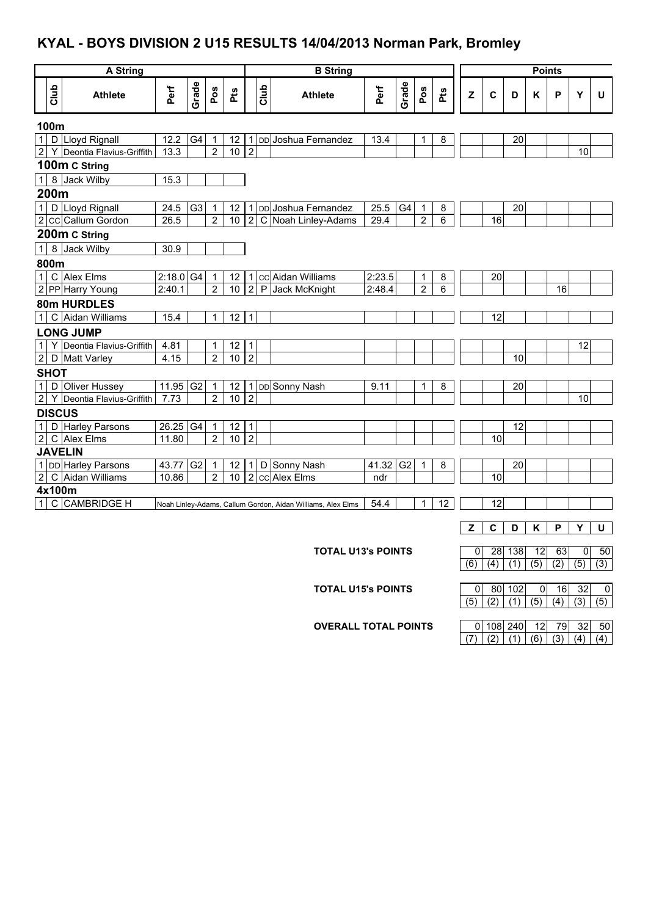#### **KYAL - BOYS DIVISION 2 U15 RESULTS 14/04/2013 Norman Park, Bromley**

| <b>A String</b> |                              |             |                |                |                 | <b>B</b> String |      |                                                             |        |                | <b>Points</b>  |     |     |                  |     |                  |                  |     |     |
|-----------------|------------------------------|-------------|----------------|----------------|-----------------|-----------------|------|-------------------------------------------------------------|--------|----------------|----------------|-----|-----|------------------|-----|------------------|------------------|-----|-----|
| Club            | <b>Athlete</b>               | Perf        | Grade          | Pos            | <b>Pts</b>      |                 | Club | <b>Athlete</b>                                              | Perf   | Grade          | Pos            | Pts | Z   | $\mathbf c$      | D   | Κ                | P                | Y   | U   |
| 100m            |                              |             |                |                |                 |                 |      |                                                             |        |                |                |     |     |                  |     |                  |                  |     |     |
|                 | 1 D Lloyd Rignall            | 12.2        | G4             | 1              | 12              | $\mathbf 1$     |      | DD Joshua Fernandez                                         | 13.4   |                | 1              | 8   |     |                  | 20  |                  |                  |     |     |
|                 | 2 Y Deontia Flavius-Griffith | 13.3        |                | $\overline{2}$ | 10              | $\overline{2}$  |      |                                                             |        |                |                |     |     |                  |     |                  |                  | 10  |     |
|                 | 100m C String                |             |                |                |                 |                 |      |                                                             |        |                |                |     |     |                  |     |                  |                  |     |     |
|                 | 1 8 Jack Wilby               | 15.3        |                |                |                 |                 |      |                                                             |        |                |                |     |     |                  |     |                  |                  |     |     |
| 200m            |                              |             |                |                |                 |                 |      |                                                             |        |                |                |     |     |                  |     |                  |                  |     |     |
|                 | 1 D Lloyd Rignall            | 24.5        | G <sub>3</sub> | 1              | 12              | 1               |      | DD Joshua Fernandez                                         | 25.5   | G4             | $\mathbf 1$    | 8   |     |                  | 20  |                  |                  |     |     |
|                 | 2 CC Callum Gordon           | 26.5        |                | $\overline{2}$ | 10              | $\overline{2}$  |      | C Noah Linley-Adams                                         | 29.4   |                | $\overline{2}$ | 6   |     | 16               |     |                  |                  |     |     |
|                 | 200m C String                |             |                |                |                 |                 |      |                                                             |        |                |                |     |     |                  |     |                  |                  |     |     |
|                 | 1 8 Jack Wilby               | 30.9        |                |                |                 |                 |      |                                                             |        |                |                |     |     |                  |     |                  |                  |     |     |
| 800m            |                              |             |                |                |                 |                 |      |                                                             |        |                |                |     |     |                  |     |                  |                  |     |     |
|                 | 1 C Alex Elms                | $2:18.0$ G4 |                | 1              | 12              |                 |      | cc Aidan Williams                                           | 2:23.5 |                | 1              | 8   |     | 20               |     |                  |                  |     |     |
|                 | 2 PP Harry Young             | 2:40.1      |                | $\overline{2}$ | 10 <sup>1</sup> | $\overline{2}$  |      | P Jack McKnight                                             | 2:48.4 |                | $\overline{2}$ | 6   |     |                  |     |                  | 16               |     |     |
|                 | 80m HURDLES                  |             |                |                |                 |                 |      |                                                             |        |                |                |     |     |                  |     |                  |                  |     |     |
|                 | 1 C Aidan Williams           | 15.4        |                | $\mathbf{1}$   | 12              | 1               |      |                                                             |        |                |                |     |     | 12               |     |                  |                  |     |     |
|                 | <b>LONG JUMP</b>             |             |                |                |                 |                 |      |                                                             |        |                |                |     |     |                  |     |                  |                  |     |     |
|                 | 1 Y Deontia Flavius-Griffith | 4.81        |                | 1              | 12              | 1               |      |                                                             |        |                |                |     |     |                  |     |                  |                  | 12  |     |
|                 | 2 D Matt Varley              | 4.15        |                | $\overline{2}$ | 10              | $\overline{2}$  |      |                                                             |        |                |                |     |     |                  | 10  |                  |                  |     |     |
| <b>SHOT</b>     |                              |             |                |                |                 |                 |      |                                                             |        |                |                |     |     |                  |     |                  |                  |     |     |
|                 | 1 D Oliver Hussey            | 11.95       | G <sub>2</sub> | 1              | 12              | $\mathbf{1}$    |      | DD Sonny Nash                                               | 9.11   |                | 1              | 8   |     |                  | 20  |                  |                  |     |     |
| $2 \mid$        | Y Deontia Flavius-Griffith   | 7.73        |                | $\overline{2}$ | 10              | $\overline{2}$  |      |                                                             |        |                |                |     |     |                  |     |                  |                  | 10  |     |
|                 | <b>DISCUS</b>                |             |                |                |                 |                 |      |                                                             |        |                |                |     |     |                  |     |                  |                  |     |     |
|                 | 1 D Harley Parsons           | 26.25 G4    |                | $\mathbf{1}$   | $\overline{12}$ | 1               |      |                                                             |        |                |                |     |     |                  | 12  |                  |                  |     |     |
|                 | 2 C Alex Elms                | 11.80       |                | $\overline{2}$ | $\overline{10}$ | $\overline{2}$  |      |                                                             |        |                |                |     |     | 10               |     |                  |                  |     |     |
|                 | <b>JAVELIN</b>               |             |                |                |                 |                 |      |                                                             |        |                |                |     |     |                  |     |                  |                  |     |     |
|                 | 1 DD Harley Parsons          | 43.77 G2    |                | $\mathbf{1}$   | 12              | 1 <sup>1</sup>  |      | D Sonny Nash                                                | 41.32  | G <sub>2</sub> | 1              | 8   |     |                  | 20  |                  |                  |     |     |
|                 | 2 C Aidan Williams           | 10.86       |                | $\overline{2}$ | 10              | $\overline{2}$  |      | cc Alex Elms                                                | ndr    |                |                |     |     | 10               |     |                  |                  |     |     |
|                 | 4x100m                       |             |                |                |                 |                 |      |                                                             |        |                |                |     |     |                  |     |                  |                  |     |     |
|                 | 1 C CAMBRIDGE H              |             |                |                |                 |                 |      | Noah Linley-Adams, Callum Gordon, Aidan Williams, Alex Elms | 54.4   |                | 1              | 12  |     | 12               |     |                  |                  |     |     |
|                 |                              |             |                |                |                 |                 |      |                                                             |        |                |                |     | z   | $\mathbf c$      | D   | Κ                | P                | Y   | U   |
|                 |                              |             |                |                |                 |                 |      |                                                             |        |                |                |     |     |                  |     |                  |                  |     |     |
|                 |                              |             |                |                |                 |                 |      | <b>TOTAL U13's POINTS</b>                                   |        |                |                |     | 0   | 28               | 138 | 12               | 63               | 0   | 50  |
|                 |                              |             |                |                |                 |                 |      |                                                             |        |                |                |     | (6) | $\overline{(4)}$ | (1) | $\overline{(5)}$ | $\overline{(2)}$ | (5) | (3) |
|                 |                              |             |                |                |                 |                 |      |                                                             |        |                |                |     |     |                  |     |                  |                  |     |     |

**TOTAL U15's POINTS** 0 80 102 0 16 32 0<br>(5) (2) (1) (5) (4) (3) (5)

**OVERALL TOTAL POINTS** 0 108 240 12 79 32 50<br>(7) (2) (1) (6) (3) (4) (4)  $(7) (2) (1) (6) (3) (4) (4)$ 

 $(5) | (2) | (1) | (5) | (4) | (3) | (5)$